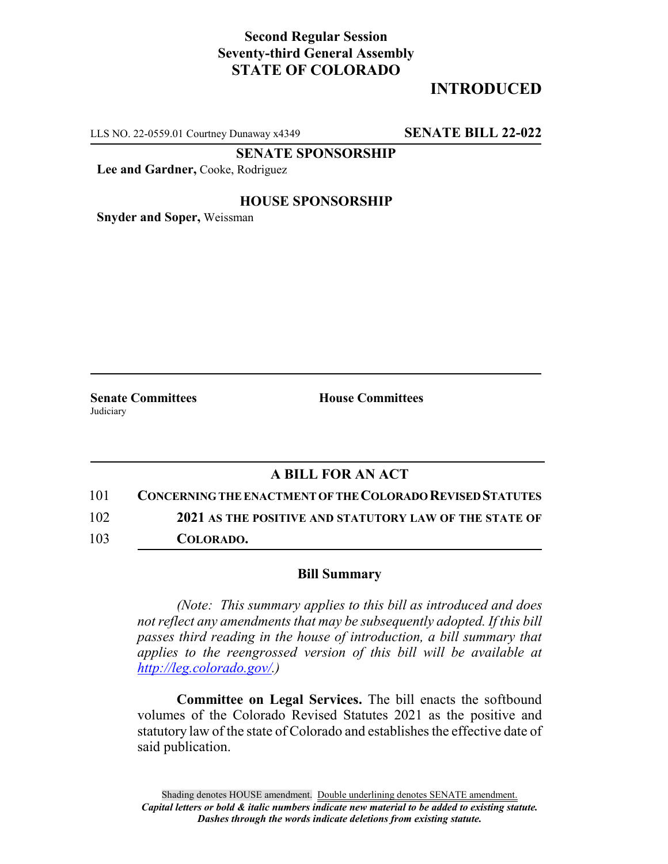# **Second Regular Session Seventy-third General Assembly STATE OF COLORADO**

# **INTRODUCED**

LLS NO. 22-0559.01 Courtney Dunaway x4349 **SENATE BILL 22-022**

**SENATE SPONSORSHIP**

**Lee and Gardner,** Cooke, Rodriguez

### **HOUSE SPONSORSHIP**

**Snyder and Soper,** Weissman

Judiciary

**Senate Committees House Committees** 

### **A BILL FOR AN ACT**

101 **CONCERNING THE ENACTMENT OF THE COLORADO REVISED STATUTES**

102 **2021 AS THE POSITIVE AND STATUTORY LAW OF THE STATE OF**

103 **COLORADO.**

#### **Bill Summary**

*(Note: This summary applies to this bill as introduced and does not reflect any amendments that may be subsequently adopted. If this bill passes third reading in the house of introduction, a bill summary that applies to the reengrossed version of this bill will be available at http://leg.colorado.gov/.)*

**Committee on Legal Services.** The bill enacts the softbound volumes of the Colorado Revised Statutes 2021 as the positive and statutory law of the state of Colorado and establishes the effective date of said publication.